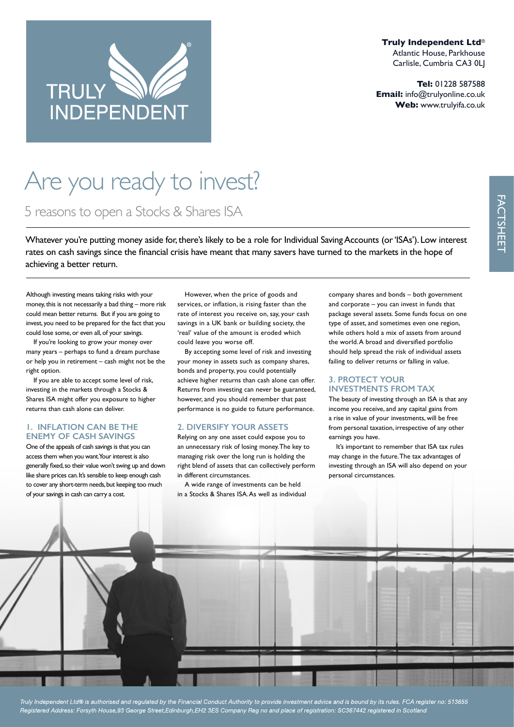

**Truly Independent Ltd**® Atlantic House, Parkhouse Carlisle, Cumbria CA3 0LJ

**Tel:** 01228 587588 **Email:** info@trulyonline.co.uk **Web:** www.trulyifa.co.uk

# Are you ready to invest?

5 reasons to open a Stocks & Shares ISA

Whatever you're putting money aside for, there's likely to be a role for Individual Saving Accounts (or 'ISAs'). Low interest rates on cash savings since the fnancial crisis have meant that many savers have turned to the markets in the hope of achieving a better return.

Although investing means taking risks with your money, this is not necessarily a bad thing – more risk could mean better returns. But if you are going to invest, you need to be prepared for the fact that you could lose some, or even all, of your savings.

If you're looking to grow your money over many years – perhaps to fund a dream purchase or help you in retirement – cash might not be the right option.

If you are able to accept some level of risk, investing in the markets through a Stocks & Shares ISA might offer you exposure to higher returns than cash alone can deliver.

#### **1. INFLATION CAN BE THE ENEMY OF CASH SAVINGS**

One of the appeals of cash savings is that you can access them when you want. Your interest is also generally fxed, so their value won't swing up and down like share prices can. It's sensible to keep enough cash to cover any short-term needs, but keeping too much of your savings in cash can carry a cost.

However, when the price of goods and services, or infation, is rising faster than the rate of interest you receive on, say, your cash savings in a UK bank or building society, the 'real' value of the amount is eroded which could leave you worse off.

By accepting some level of risk and investing your money in assets such as company shares, bonds and property, you could potentially achieve higher returns than cash alone can offer. Returns from investing can never be guaranteed, however, and you should remember that past performance is no guide to future performance.

# **2. DIVERSIFY YOUR ASSETS**

Relying on any one asset could expose you to an unnecessary risk of losing money. The key to managing risk over the long run is holding the right blend of assets that can collectively perform in different circumstances.

A wide range of investments can be held in a Stocks & Shares ISA. As well as individual company shares and bonds – both government and corporate – you can invest in funds that package several assets. Some funds focus on one type of asset, and sometimes even one region, while others hold a mix of assets from around the world. A broad and diversifed portfolio should help spread the risk of individual assets failing to deliver returns or falling in value.

## **3. PROTECT YOUR INVESTMENTS FROM TAX**

The beauty of investing through an ISA is that any income you receive, and any capital gains from a rise in value of your investments, will be free from personal taxation, irrespective of any other earnings you have.

It's important to remember that ISA tax rules may change in the future. The tax advantages of investing through an ISA will also depend on your personal circumstances.

Truly Independent Ltd® is authorised and regulated by the Financial Conduct Authority to provide investment advice and is bound by its rules. FCA register no: 513655 Registered Address: Forsyth House,93 George Street,Edinburgh,EH2 3ES Company Reg no and place of registration: SC367442 registered in Scotland